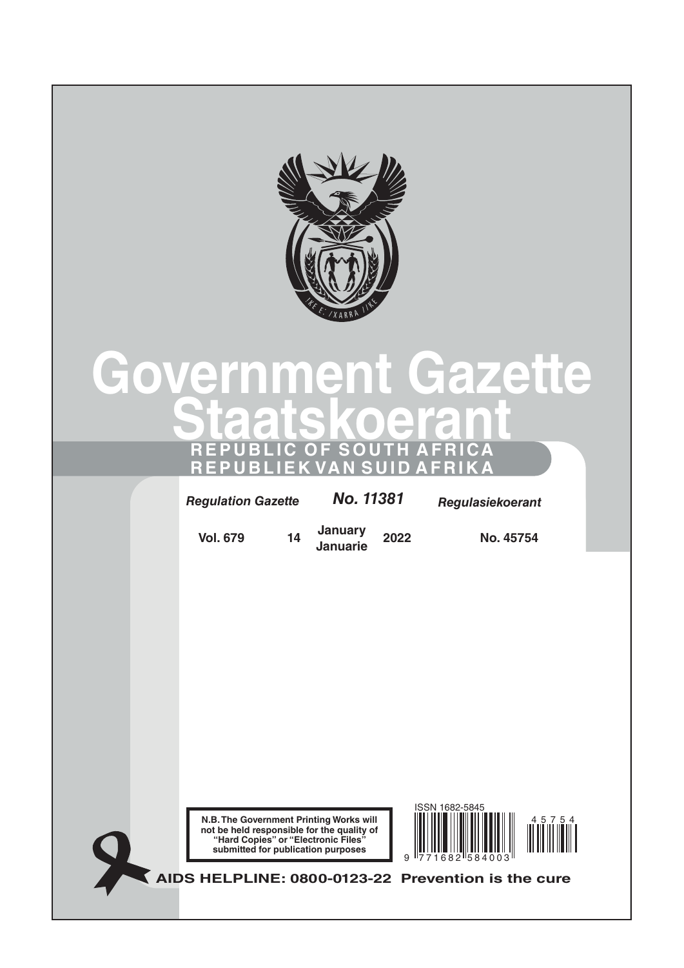

# **Government Gazette Staatskoerant REPUBLIC OF SOUTH AFRICA REPUBLIEK VAN SUID AFRIKA**



*Regulation Gazette* **No. 10177** *Regulasiekoerant*

**Vol. 679 <sup>14</sup> January**

**Januarie <sup>2022</sup> No. 45754**





**AIDS HELPLINE: 0800-0123-22 Prevention is the cure**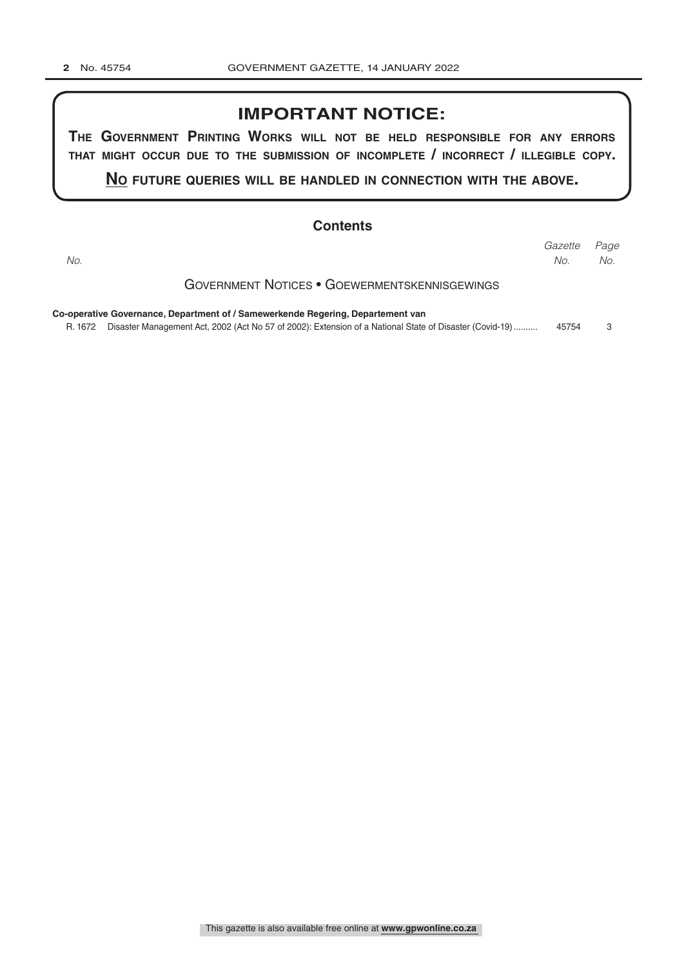# **IMPORTANT NOTICE:**

**The GovernmenT PrinTinG Works Will noT be held resPonsible for any errors ThaT miGhT occur due To The submission of incomPleTe / incorrecT / illeGible coPy.**

**no fuTure queries Will be handled in connecTion WiTh The above.**

# **Contents**

| No.                                                                                                                                                                                                   | Gazette<br>No. | Page<br>No. |
|-------------------------------------------------------------------------------------------------------------------------------------------------------------------------------------------------------|----------------|-------------|
| <b>GOVERNMENT NOTICES • GOEWERMENTSKENNISGEWINGS</b>                                                                                                                                                  |                |             |
| Co-operative Governance, Department of / Samewerkende Regering, Departement van<br>Disaster Management Act, 2002 (Act No 57 of 2002): Extension of a National State of Disaster (Covid-19)<br>R. 1672 | 45754          | 3           |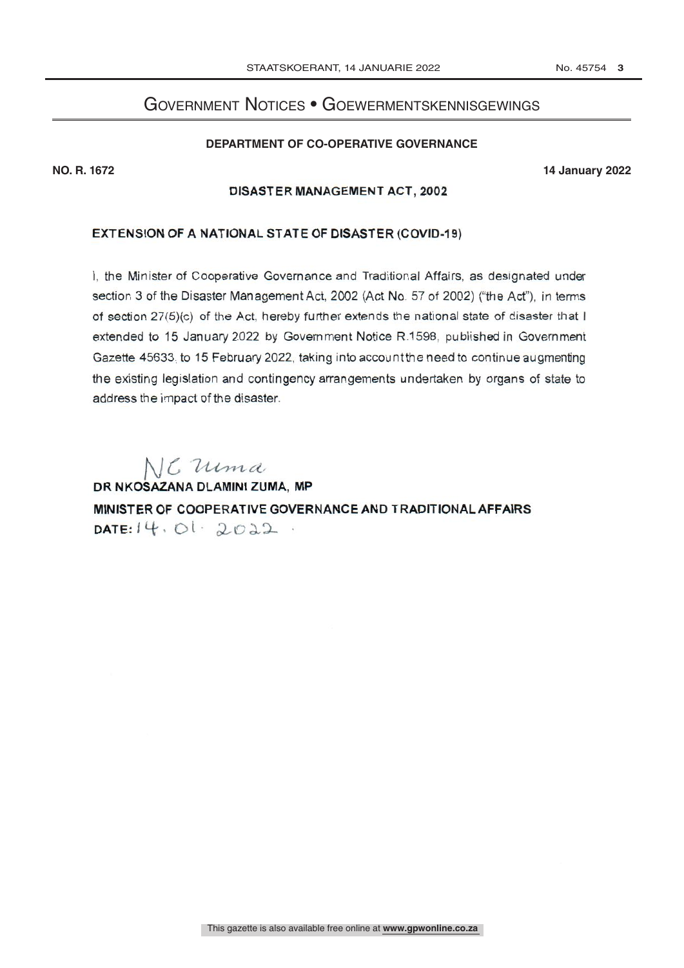# Government Notices • Goewermentskennisgewings

## **DEPARTMENT OF CO-OPERATIVE GOVERNANCE**

**NO. R. 1672 14 January 2022**

#### **DISASTER MANAGEMENT ACT, 2002**

### EXTENSION OF A NATIONAL STATE OF DISASTER (COVID-19)

I, the Minister of Cooperative Governance and Traditional Affairs, as designated under section 3 of the Disaster Management Act, 2002 (Act No. 57 of 2002) ("the Act"), in terms of section 27(5)(c) of the Act, hereby further extends the national state of disaster that I extended to 15 January 2022 by Government Notice R.1598, published in Government Gazette 45633, to 15 February 2022, taking into account the need to continue augmenting the existing legislation and contingency arrangements undertaken by organs of state to address the impact of the disaster.

 $\bigvee_{\text{DR NKOSAZANA DLAMINI ZUMA, MP}}$ MINISTER OF COOPERATIVE GOVERNANCE AND TRADITIONAL AFFAIRS DATE:  $14.01$  2022.